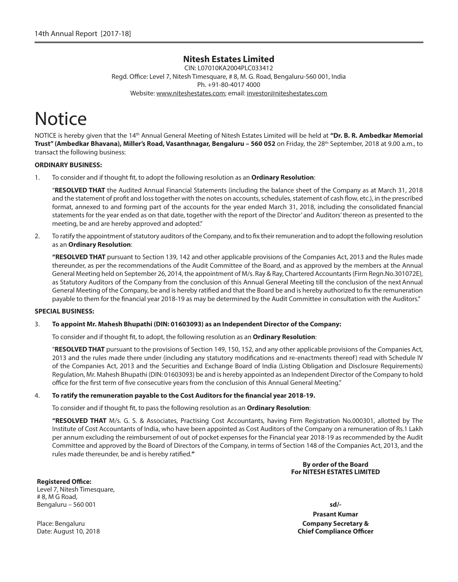# **Nitesh Estates Limited**

CIN: L07010KA2004PLC033412 Regd. Office: Level 7, Nitesh Timesquare, # 8, M. G. Road, Bengaluru-560 001, India Ph. +91-80-4017 4000 Website: www.niteshestates.com; email: investor@niteshestates.com

# **Notice**

NOTICE is hereby given that the 14th Annual General Meeting of Nitesh Estates Limited will be held at **"Dr. B. R. Ambedkar Memorial Trust" (Ambedkar Bhavana), Miller's Road, Vasanthnagar, Bengaluru – 560 052** on Friday, the 28th September, 2018 at 9.00 a.m., to transact the following business:

# **ORDINARY BUSINESS:**

1. To consider and if thought fit, to adopt the following resolution as an **Ordinary Resolution**:

 "**RESOLVED THAT** the Audited Annual Financial Statements (including the balance sheet of the Company as at March 31, 2018 and the statement of profit and loss together with the notes on accounts, schedules, statement of cash flow, etc.), in the prescribed format, annexed to and forming part of the accounts for the year ended March 31, 2018, including the consolidated financial statements for the year ended as on that date, together with the report of the Director' and Auditors' thereon as presented to the meeting, be and are hereby approved and adopted."

2. To ratify the appointment of statutory auditors of the Company, and to fix their remuneration and to adopt the following resolution as an **Ordinary Resolution**:

 **"RESOLVED THAT** pursuant to Section 139, 142 and other applicable provisions of the Companies Act, 2013 and the Rules made thereunder, as per the recommendations of the Audit Committee of the Board, and as approved by the members at the Annual General Meeting held on September 26, 2014, the appointment of M/s. Ray & Ray, Chartered Accountants (Firm Regn.No.301072E), as Statutory Auditors of the Company from the conclusion of this Annual General Meeting till the conclusion of the next Annual General Meeting of the Company, be and is hereby ratified and that the Board be and is hereby authorized to fix the remuneration payable to them for the financial year 2018-19 as may be determined by the Audit Committee in consultation with the Auditors."

#### **SPECIAL BUSINESS:**

#### 3. **To appoint Mr. Mahesh Bhupathi (DIN: 01603093) as an Independent Director of the Company:**

To consider and if thought fit, to adopt, the following resolution as an **Ordinary Resolution**:

 "**RESOLVED THAT** pursuant to the provisions of Section 149, 150, 152, and any other applicable provisions of the Companies Act, 2013 and the rules made there under (including any statutory modifications and re-enactments thereof) read with Schedule IV of the Companies Act, 2013 and the Securities and Exchange Board of India (Listing Obligation and Disclosure Requirements) Regulation, Mr. Mahesh Bhupathi (DIN: 01603093) be and is hereby appointed as an Independent Director of the Company to hold office for the first term of five consecutive years from the conclusion of this Annual General Meeting."

#### 4. **To ratify the remuneration payable to the Cost Auditors for the financial year 2018-19.**

To consider and if thought fit, to pass the following resolution as an **Ordinary Resolution**:

 **"RESOLVED THAT** M/s. G. S. & Associates, Practising Cost Accountants, having Firm Registration No.000301, allotted by The Institute of Cost Accountants of India, who have been appointed as Cost Auditors of the Company on a remuneration of Rs.1 Lakh per annum excluding the reimbursement of out of pocket expenses for the Financial year 2018-19 as recommended by the Audit Committee and approved by the Board of Directors of the Company, in terms of Section 148 of the Companies Act, 2013, and the rules made thereunder, be and is hereby ratified.**"**

> **By order of the Board For NITESH ESTATES LIMITED**

**Registered Office:** Level 7, Nitesh Timesquare, # 8, M G Road, Bengaluru – 560 001 **sd/-**

**Prasant Kumar Company Secretary & Chief Compliance Officer**

Place: Bengaluru Date: August 10, 2018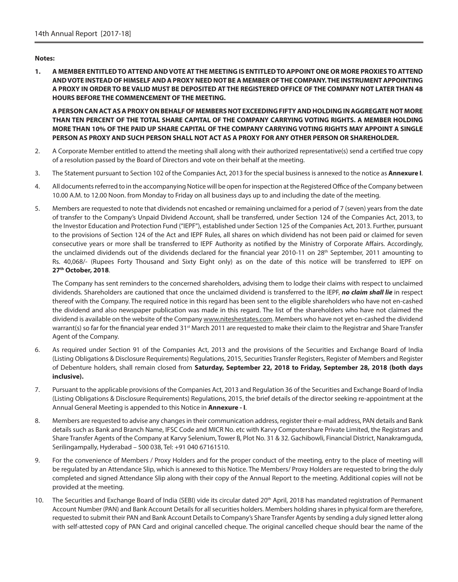## **Notes:**

**1. A MEMBER ENTITLED TO ATTEND AND VOTE AT THE MEETING IS ENTITLED TO APPOINT ONE OR MORE PROXIES TO ATTEND AND VOTE INSTEAD OF HIMSELF AND A PROXY NEED NOT BE A MEMBER OF THE COMPANY. THE INSTRUMENT APPOINTING A PROXY IN ORDER TO BE VALID MUST BE DEPOSITED AT THE REGISTERED OFFICE OF THE COMPANY NOT LATER THAN 48 HOURS BEFORE THE COMMENCEMENT OF THE MEETING.**

 **A PERSON CAN ACT AS A PROXY ON BEHALF OF MEMBERS NOT EXCEEDING FIFTY AND HOLDING IN AGGREGATE NOT MORE THAN TEN PERCENT OF THE TOTAL SHARE CAPITAL OF THE COMPANY CARRYING VOTING RIGHTS. A MEMBER HOLDING MORE THAN 10% OF THE PAID UP SHARE CAPITAL OF THE COMPANY CARRYING VOTING RIGHTS MAY APPOINT A SINGLE PERSON AS PROXY AND SUCH PERSON SHALL NOT ACT AS A PROXY FOR ANY OTHER PERSON OR SHAREHOLDER.**

- 2. A Corporate Member entitled to attend the meeting shall along with their authorized representative(s) send a certified true copy of a resolution passed by the Board of Directors and vote on their behalf at the meeting.
- 3. The Statement pursuant to Section 102 of the Companies Act, 2013 for the special business is annexed to the notice as **Annexure I**.
- 4. All documents referred to in the accompanying Notice will be open for inspection at the Registered Office of the Company between 10.00 A.M. to 12.00 Noon. from Monday to Friday on all business days up to and including the date of the meeting.
- 5. Members are requested to note that dividends not encashed or remaining unclaimed for a period of 7 (seven) years from the date of transfer to the Company's Unpaid Dividend Account, shall be transferred, under Section 124 of the Companies Act, 2013, to the Investor Education and Protection Fund ("IEPF"), established under Section 125 of the Companies Act, 2013. Further, pursuant to the provisions of Section 124 of the Act and IEPF Rules, all shares on which dividend has not been paid or claimed for seven consecutive years or more shall be transferred to IEPF Authority as notified by the Ministry of Corporate Affairs. Accordingly, the unclaimed dividends out of the dividends declared for the financial year 2010-11 on 28<sup>th</sup> September, 2011 amounting to Rs. 40,068/- (Rupees Forty Thousand and Sixty Eight only) as on the date of this notice will be transferred to IEPF on **27th October, 2018**.

 The Company has sent reminders to the concerned shareholders, advising them to lodge their claims with respect to unclaimed dividends. Shareholders are cautioned that once the unclaimed dividend is transferred to the IEPF, *no claim shall lie* in respect thereof with the Company. The required notice in this regard has been sent to the eligible shareholders who have not en-cashed the dividend and also newspaper publication was made in this regard. The list of the shareholders who have not claimed the dividend is available on the website of the Company www.niteshestates.com. Members who have not yet en-cashed the dividend warrant(s) so far for the financial year ended 31<sup>st</sup> March 2011 are requested to make their claim to the Registrar and Share Transfer Agent of the Company.

- 6. As required under Section 91 of the Companies Act, 2013 and the provisions of the Securities and Exchange Board of India (Listing Obligations & Disclosure Requirements) Regulations, 2015, Securities Transfer Registers, Register of Members and Register of Debenture holders, shall remain closed from **Saturday, September 22, 2018 to Friday, September 28, 2018 (both days inclusive).**
- 7. Pursuant to the applicable provisions of the Companies Act, 2013 and Regulation 36 of the Securities and Exchange Board of India (Listing Obligations & Disclosure Requirements) Regulations, 2015, the brief details of the director seeking re-appointment at the Annual General Meeting is appended to this Notice in **Annexure - I**.
- 8. Members are requested to advise any changes in their communication address, register their e-mail address, PAN details and Bank details such as Bank and Branch Name, IFSC Code and MICR No. etc with Karvy Computershare Private Limited, the Registrars and Share Transfer Agents of the Company at Karvy Selenium, Tower B, Plot No. 31 & 32. Gachibowli, Financial District, Nanakramguda, Serilingampally, Hyderabad – 500 038, Tel: +91 040 67161510.
- 9. For the convenience of Members / Proxy Holders and for the proper conduct of the meeting, entry to the place of meeting will be regulated by an Attendance Slip, which is annexed to this Notice. The Members/ Proxy Holders are requested to bring the duly completed and signed Attendance Slip along with their copy of the Annual Report to the meeting. Additional copies will not be provided at the meeting.
- 10. The Securities and Exchange Board of India (SEBI) vide its circular dated 20<sup>th</sup> April, 2018 has mandated registration of Permanent Account Number (PAN) and Bank Account Details for all securities holders. Members holding shares in physical form are therefore, requested to submit their PAN and Bank Account Details to Company's Share Transfer Agents by sending a duly signed letter along with self-attested copy of PAN Card and original cancelled cheque. The original cancelled cheque should bear the name of the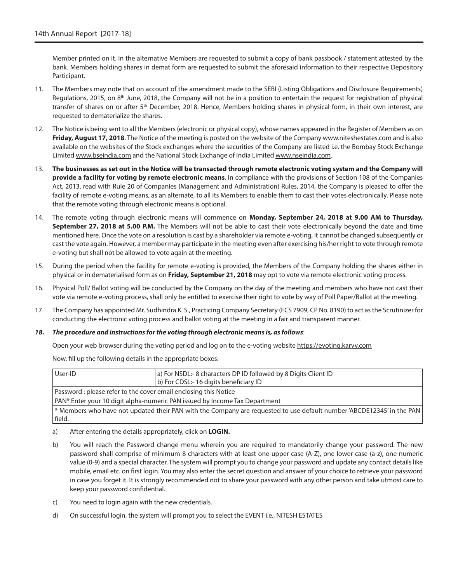Member printed on it. In the alternative Members are requested to submit a copy of bank passbook / statement attested by the bank. Members holding shares in demat form are requested to submit the aforesaid information to their respective Depository Participant.

- 11. The Members may note that on account of the amendment made to the SEBI (Listing Obligations and Disclosure Requirements) Regulations, 2015, on 8<sup>th</sup> June, 2018, the Company will not be in a position to entertain the request for registration of physical transfer of shares on or after 5<sup>th</sup> December, 2018. Hence, Members holding shares in physical form, in their own interest, are requested to dematerialize the shares.
- 12. The Notice is being sent to all the Members (electronic or physical copy), whose names appeared in the Register of Members as on **Friday, August 17, 2018**. The Notice of the meeting is posted on the website of the Company www.niteshestates.com and is also available on the websites of the Stock exchanges where the securities of the Company are listed i.e. the Bombay Stock Exchange Limited www.bseindia.com and the National Stock Exchange of India Limited www.nseindia.com.
- 13. **The businesses as set out in the Notice will be transacted through remote electronic voting system and the Company will provide a facility for voting by remote electronic means**. In compliance with the provisions of Section 108 of the Companies Act, 2013, read with Rule 20 of Companies (Management and Administration) Rules, 2014, the Company is pleased to offer the facility of remote e-voting means, as an alternate, to all its Members to enable them to cast their votes electronically. Please note that the remote voting through electronic means is optional.
- 14. The remote voting through electronic means will commence on **Monday, September 24, 2018 at 9.00 AM to Thursday, September 27, 2018 at 5.00 P.M.** The Members will not be able to cast their vote electronically beyond the date and time mentioned here. Once the vote on a resolution is cast by a shareholder via remote e-voting, it cannot be changed subsequently or cast the vote again. However, a member may participate in the meeting even after exercising his/her right to vote through remote e-voting but shall not be allowed to vote again at the meeting.
- 15. During the period when the facility for remote e-voting is provided, the Members of the Company holding the shares either in physical or in dematerialised form as on **Friday, September 21, 2018** may opt to vote via remote electronic voting process.
- 16. Physical Poll/ Ballot voting will be conducted by the Company on the day of the meeting and members who have not cast their vote via remote e-voting process, shall only be entitled to exercise their right to vote by way of Poll Paper/Ballot at the meeting.
- 17. The Company has appointed Mr. Sudhindra K. S., Practicing Company Secretary (FCS 7909, CP No. 8190) to act as the Scrutinizer for conducting the electronic voting process and ballot voting at the meeting in a fair and transparent manner.

#### *18. The procedure and instructions for the voting through electronic means is, as follows*:

Open your web browser during the voting period and log on to the e-voting website https://evoting.karvy.com

Now, fill up the following details in the appropriate boxes:

| User-ID                                                                                                               | a) For NSDL:- 8 characters DP ID followed by 8 Digits Client ID<br>b) For CDSL: - 16 digits beneficiary ID |  |
|-----------------------------------------------------------------------------------------------------------------------|------------------------------------------------------------------------------------------------------------|--|
| Password : please refer to the cover email enclosing this Notice                                                      |                                                                                                            |  |
| PAN* Enter your 10 digit alpha-numeric PAN issued by Income Tax Department                                            |                                                                                                            |  |
| * Members who have not updated their PAN with the Company are requested to use default number 'ABCDE12345' in the PAN |                                                                                                            |  |
| field.                                                                                                                |                                                                                                            |  |

- a) After entering the details appropriately, click on **LOGIN.**
- b) You will reach the Password change menu wherein you are required to mandatorily change your password. The new password shall comprise of minimum 8 characters with at least one upper case (A-Z), one lower case (a-z), one numeric value (0-9) and a special character. The system will prompt you to change your password and update any contact details like mobile, email etc. on first login. You may also enter the secret question and answer of your choice to retrieve your password in case you forget it. It is strongly recommended not to share your password with any other person and take utmost care to keep your password confidential.
- c) You need to login again with the new credentials.
- d) On successful login, the system will prompt you to select the EVENT i.e., NITESH ESTATES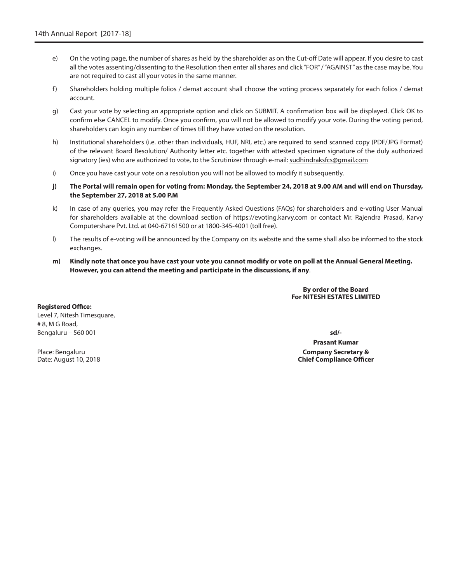- e) On the voting page, the number of shares as held by the shareholder as on the Cut-off Date will appear. If you desire to cast all the votes assenting/dissenting to the Resolution then enter all shares and click "FOR" / "AGAINST" as the case may be. You are not required to cast all your votes in the same manner.
- f) Shareholders holding multiple folios / demat account shall choose the voting process separately for each folios / demat account.
- g) Cast your vote by selecting an appropriate option and click on SUBMIT. A confirmation box will be displayed. Click OK to confirm else CANCEL to modify. Once you confirm, you will not be allowed to modify your vote. During the voting period, shareholders can login any number of times till they have voted on the resolution.
- h) Institutional shareholders (i.e. other than individuals, HUF, NRI, etc.) are required to send scanned copy (PDF/JPG Format) of the relevant Board Resolution/ Authority letter etc. together with attested specimen signature of the duly authorized signatory (ies) who are authorized to vote, to the Scrutinizer through e-mail: sudhindraksfcs@gmail.com
- i) Once you have cast your vote on a resolution you will not be allowed to modify it subsequently.
- **j) The Portal will remain open for voting from: Monday, the September 24, 2018 at 9.00 AM and will end on Thursday, the September 27, 2018 at 5.00 P.M**
- k) In case of any queries, you may refer the Frequently Asked Questions (FAQs) for shareholders and e-voting User Manual for shareholders available at the download section of https://evoting.karvy.com or contact Mr. Rajendra Prasad, Karvy Computershare Pvt. Ltd. at 040-67161500 or at 1800-345-4001 (toll free).
- l) The results of e-voting will be announced by the Company on its website and the same shall also be informed to the stock exchanges.
- **m) Kindly note that once you have cast your vote you cannot modify or vote on poll at the Annual General Meeting. However, you can attend the meeting and participate in the discussions, if any**.

# **By order of the Board For NITESH ESTATES LIMITED**

**Registered Office:** Level 7, Nitesh Timesquare, # 8, M G Road, Bengaluru – 560 001 **sd/-**

Place: Bengaluru Date: August 10, 2018

**Prasant Kumar Company Secretary & Chief Compliance Officer**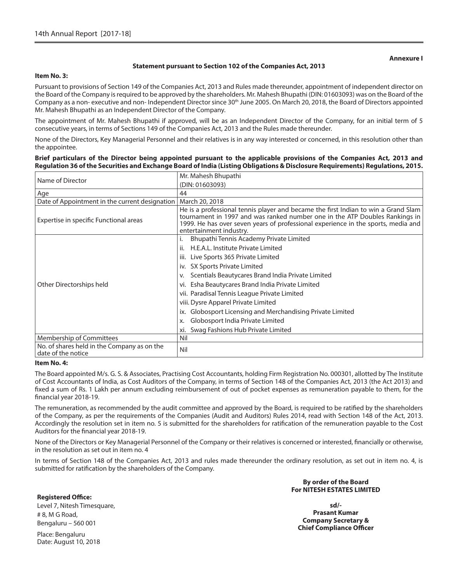#### **Annexure I**

#### **Statement pursuant to Section 102 of the Companies Act, 2013**

#### **Item No. 3:**

Pursuant to provisions of Section 149 of the Companies Act, 2013 and Rules made thereunder, appointment of independent director on the Board of the Company is required to be approved by the shareholders. Mr. Mahesh Bhupathi (DIN: 01603093) was on the Board of the Company as a non- executive and non- Independent Director since 30<sup>th</sup> June 2005. On March 20, 2018, the Board of Directors appointed Mr. Mahesh Bhupathi as an Independent Director of the Company.

The appointment of Mr. Mahesh Bhupathi if approved, will be as an Independent Director of the Company, for an initial term of 5 consecutive years, in terms of Sections 149 of the Companies Act, 2013 and the Rules made thereunder.

None of the Directors, Key Managerial Personnel and their relatives is in any way interested or concerned, in this resolution other than the appointee.

#### **Brief particulars of the Director being appointed pursuant to the applicable provisions of the Companies Act, 2013 and Regulation 36 of the Securities and Exchange Board of India (Listing Obligations & Disclosure Requirements) Regulations, 2015.**

|                                                                   | Mr. Mahesh Bhupathi                                                                                                                                                                                                                                                               |  |  |
|-------------------------------------------------------------------|-----------------------------------------------------------------------------------------------------------------------------------------------------------------------------------------------------------------------------------------------------------------------------------|--|--|
| Name of Director                                                  | (DIN: 01603093)                                                                                                                                                                                                                                                                   |  |  |
| Age                                                               | 44                                                                                                                                                                                                                                                                                |  |  |
| Date of Appointment in the current designation                    | March 20, 2018                                                                                                                                                                                                                                                                    |  |  |
| Expertise in specific Functional areas                            | He is a professional tennis player and became the first Indian to win a Grand Slam<br>tournament in 1997 and was ranked number one in the ATP Doubles Rankings in<br>1999. He has over seven years of professional experience in the sports, media and<br>entertainment industry. |  |  |
|                                                                   | Bhupathi Tennis Academy Private Limited                                                                                                                                                                                                                                           |  |  |
|                                                                   | H.E.A.L. Institute Private Limited<br>ii.                                                                                                                                                                                                                                         |  |  |
|                                                                   | Live Sports 365 Private Limited<br>iii.                                                                                                                                                                                                                                           |  |  |
|                                                                   | SX Sports Private Limited<br>iv.                                                                                                                                                                                                                                                  |  |  |
|                                                                   | Scentials Beautycares Brand India Private Limited<br>v.                                                                                                                                                                                                                           |  |  |
| Other Directorships held                                          | Esha Beautycares Brand India Private Limited<br>vi.                                                                                                                                                                                                                               |  |  |
|                                                                   | vii. Paradisal Tennis League Private Limited                                                                                                                                                                                                                                      |  |  |
|                                                                   | viii. Dysre Apparel Private Limited                                                                                                                                                                                                                                               |  |  |
|                                                                   | Globosport Licensing and Merchandising Private Limited<br>ix.                                                                                                                                                                                                                     |  |  |
|                                                                   | Globosport India Private Limited<br>X.                                                                                                                                                                                                                                            |  |  |
|                                                                   | Swag Fashions Hub Private Limited<br>xi.                                                                                                                                                                                                                                          |  |  |
| Membership of Committees                                          | Nil                                                                                                                                                                                                                                                                               |  |  |
| No. of shares held in the Company as on the<br>date of the notice | Nil                                                                                                                                                                                                                                                                               |  |  |

#### **Item No. 4:**

The Board appointed M/s. G. S. & Associates, Practising Cost Accountants, holding Firm Registration No. 000301, allotted by The Institute of Cost Accountants of India, as Cost Auditors of the Company, in terms of Section 148 of the Companies Act, 2013 (the Act 2013) and fixed a sum of Rs. 1 Lakh per annum excluding reimbursement of out of pocket expenses as remuneration payable to them, for the financial year 2018-19.

The remuneration, as recommended by the audit committee and approved by the Board, is required to be ratified by the shareholders of the Company, as per the requirements of the Companies (Audit and Auditors) Rules 2014, read with Section 148 of the Act, 2013. Accordingly the resolution set in item no. 5 is submitted for the shareholders for ratification of the remuneration payable to the Cost Auditors for the financial year 2018-19.

None of the Directors or Key Managerial Personnel of the Company or their relatives is concerned or interested, financially or otherwise, in the resolution as set out in item no. 4

In terms of Section 148 of the Companies Act, 2013 and rules made thereunder the ordinary resolution, as set out in item no. 4, is submitted for ratification by the shareholders of the Company.

# **By order of the Board For NITESH ESTATES LIMITED**

**Registered Office:** Level 7, Nitesh Timesquare, # 8, M G Road, Bengaluru – 560 001

**sd/- Prasant Kumar Company Secretary & Chief Compliance Officer**

Place: Bengaluru Date: August 10, 2018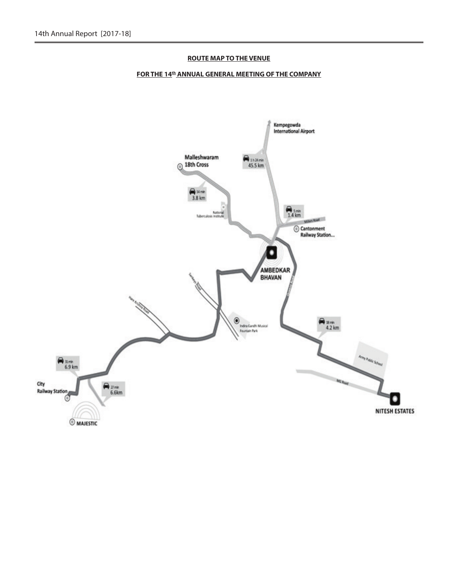# **ROUTE MAP TO THE VENUE**

# **FOR THE 14<sup>th</sup> ANNUAL GENERAL MEETING OF THE COMPANY**

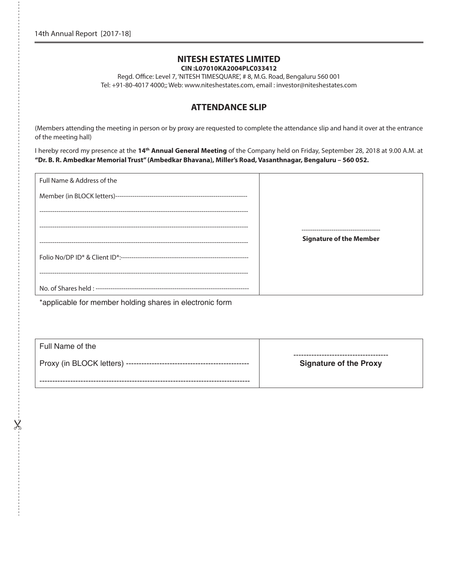# **NITESH ESTATES LIMITED CIN :L07010KA2004PLC033412**

Regd. Office: Level 7, 'NITESH TIMESQUARE', # 8, M.G. Road, Bengaluru 560 001 Tel: +91-80-4017 4000;; Web: www.niteshestates.com, email : investor@niteshestates.com

# **ATTENDANCE SLIP**

(Members attending the meeting in person or by proxy are requested to complete the attendance slip and hand it over at the entrance of the meeting hall)

I hereby record my presence at the **14th Annual General Meeting** of the Company held on Friday, September 28, 2018 at 9.00 A.M. at **"Dr. B. R. Ambedkar Memorial Trust" (Ambedkar Bhavana), Miller's Road, Vasanthnagar, Bengaluru – 560 052.**

| Full Name & Address of the        |                                |
|-----------------------------------|--------------------------------|
|                                   |                                |
|                                   |                                |
|                                   |                                |
|                                   | <b>Signature of the Member</b> |
|                                   |                                |
| --------------------------------- |                                |
|                                   |                                |
|                                   |                                |

\*applicable for member holding shares in electronic form

 $\chi$ 

| Full Name of the                         |                               |
|------------------------------------------|-------------------------------|
| Proxy (in BLOCK letters) --------------- | <b>Signature of the Proxy</b> |
|                                          |                               |